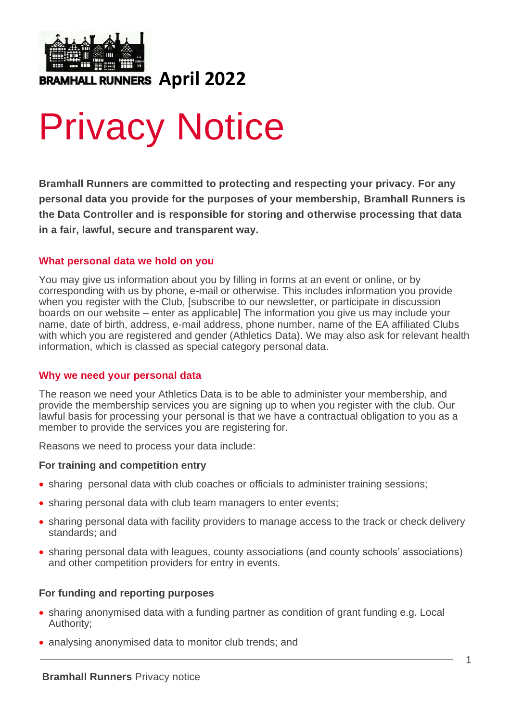

**BRAMHALL RUNNERS April 2022** 

# Privacy Notice

**Bramhall Runners are committed to protecting and respecting your privacy. For any personal data you provide for the purposes of your membership, Bramhall Runners is the Data Controller and is responsible for storing and otherwise processing that data in a fair, lawful, secure and transparent way.**

# **What personal data we hold on you**

You may give us information about you by filling in forms at an event or online, or by corresponding with us by phone, e-mail or otherwise. This includes information you provide when you register with the Club, [subscribe to our newsletter, or participate in discussion boards on our website – enter as applicable] The information you give us may include your name, date of birth, address, e-mail address, phone number, name of the EA affiliated Clubs with which you are registered and gender (Athletics Data). We may also ask for relevant health information, which is classed as special category personal data.

#### **Why we need your personal data**

The reason we need your Athletics Data is to be able to administer your membership, and provide the membership services you are signing up to when you register with the club. Our lawful basis for processing your personal is that we have a contractual obligation to you as a member to provide the services you are registering for.

Reasons we need to process your data include:

#### **For training and competition entry**

- sharing personal data with club coaches or officials to administer training sessions;
- sharing personal data with club team managers to enter events;
- sharing personal data with facility providers to manage access to the track or check delivery standards; and
- sharing personal data with leagues, county associations (and county schools' associations) and other competition providers for entry in events.

#### **For funding and reporting purposes**

- sharing anonymised data with a funding partner as condition of grant funding e.g. Local Authority;
- analysing anonymised data to monitor club trends; and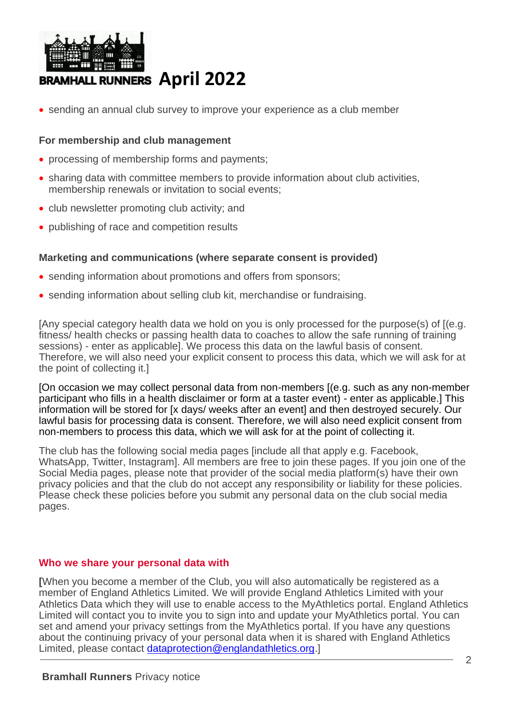

# **BRAMHALL RUNNERS April 2022**

• sending an annual club survey to improve your experience as a club member

#### **For membership and club management**

- processing of membership forms and payments;
- sharing data with committee members to provide information about club activities, membership renewals or invitation to social events;
- club newsletter promoting club activity; and
- publishing of race and competition results

#### **Marketing and communications (where separate consent is provided)**

- sending information about promotions and offers from sponsors;
- sending information about selling club kit, merchandise or fundraising.

[Any special category health data we hold on you is only processed for the purpose(s) of [(e.g. fitness/ health checks or passing health data to coaches to allow the safe running of training sessions) - enter as applicable]. We process this data on the lawful basis of consent. Therefore, we will also need your explicit consent to process this data, which we will ask for at the point of collecting it.]

[On occasion we may collect personal data from non-members [(e.g. such as any non-member participant who fills in a health disclaimer or form at a taster event) - enter as applicable.] This information will be stored for [x days/ weeks after an event] and then destroyed securely. Our lawful basis for processing data is consent. Therefore, we will also need explicit consent from non-members to process this data, which we will ask for at the point of collecting it.

The club has the following social media pages [include all that apply e.g. Facebook, WhatsApp, Twitter, Instagram]. All members are free to join these pages. If you join one of the Social Media pages, please note that provider of the social media platform(s) have their own privacy policies and that the club do not accept any responsibility or liability for these policies. Please check these policies before you submit any personal data on the club social media pages.

#### **Who we share your personal data with**

**[**When you become a member of the Club, you will also automatically be registered as a member of England Athletics Limited. We will provide England Athletics Limited with your Athletics Data which they will use to enable access to the MyAthletics portal. England Athletics Limited will contact you to invite you to sign into and update your MyAthletics portal. You can set and amend your privacy settings from the MyAthletics portal. If you have any questions about the continuing privacy of your personal data when it is shared with England Athletics Limited, please contact [dataprotection@englandathletics.org.](mailto:dataprotection@englandathletics.org)]